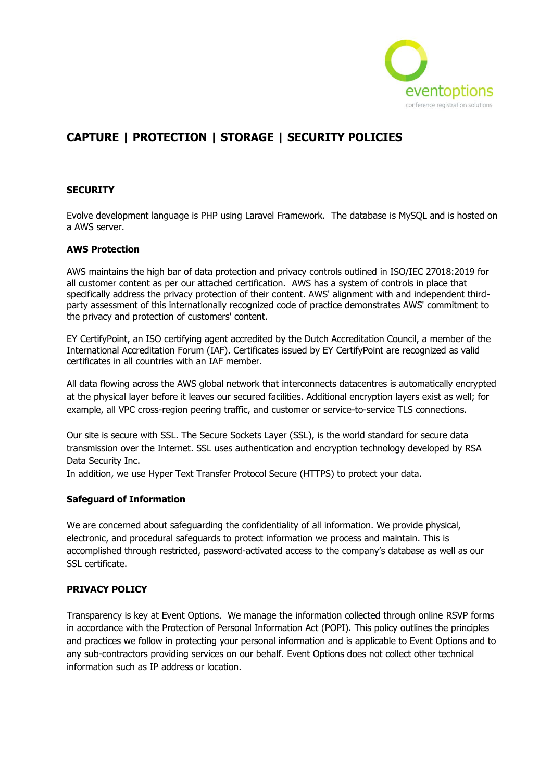

# **CAPTURE | PROTECTION | STORAGE | SECURITY POLICIES**

#### **SECURITY**

Evolve development language is PHP using Laravel Framework. The database is MySQL and is hosted on a AWS server.

#### **AWS Protection**

AWS maintains the high bar of data protection and privacy controls outlined in ISO/IEC 27018:2019 for all customer content as per our attached certification. AWS has a system of controls in place that specifically address the privacy protection of their content. AWS' alignment with and independent thirdparty assessment of this internationally recognized code of practice demonstrates AWS' commitment to the privacy and protection of customers' content.

EY CertifyPoint, an ISO certifying agent accredited by the Dutch Accreditation Council, a member of the International Accreditation Forum (IAF). Certificates issued by EY CertifyPoint are recognized as valid certificates in all countries with an IAF member.

All data flowing across the AWS global network that interconnects datacentres is automatically encrypted at the physical layer before it leaves our secured facilities. Additional encryption layers exist as well; for example, all VPC cross-region peering traffic, and customer or service-to-service TLS connections.

Our site is secure with SSL. The Secure Sockets Layer (SSL), is the world standard for secure data transmission over the Internet. SSL uses authentication and encryption technology developed by RSA Data Security Inc.

In addition, we use Hyper Text Transfer Protocol Secure (HTTPS) to protect your data.

#### **Safeguard of Information**

We are concerned about safeguarding the confidentiality of all information. We provide physical, electronic, and procedural safeguards to protect information we process and maintain. This is accomplished through restricted, password-activated access to the company's database as well as our SSL certificate.

#### **PRIVACY POLICY**

Transparency is key at Event Options. We manage the information collected through online RSVP forms in accordance with the Protection of Personal Information Act (POPI). This policy outlines the principles and practices we follow in protecting your personal information and is applicable to Event Options and to any sub-contractors providing services on our behalf. Event Options does not collect other technical information such as IP address or location.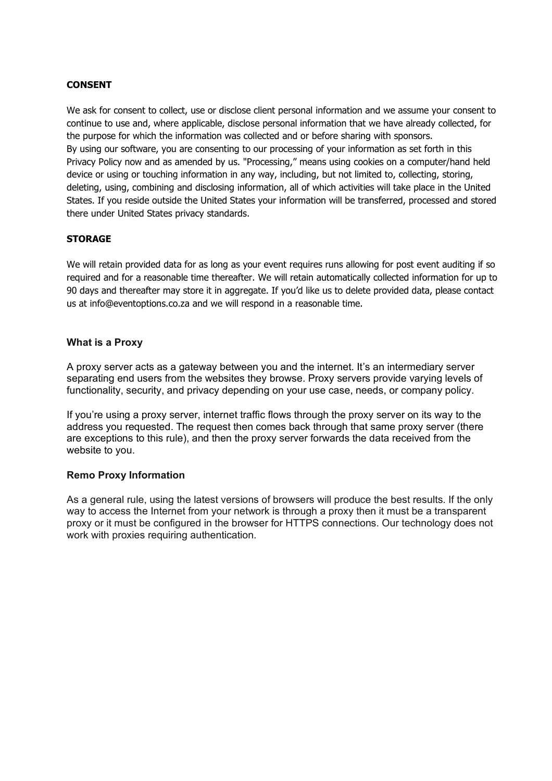#### **CONSENT**

We ask for consent to collect, use or disclose client personal information and we assume your consent to continue to use and, where applicable, disclose personal information that we have already collected, for the purpose for which the information was collected and or before sharing with sponsors. By using our software, you are consenting to our processing of your information as set forth in this Privacy Policy now and as amended by us. "Processing," means using cookies on a computer/hand held device or using or touching information in any way, including, but not limited to, collecting, storing, deleting, using, combining and disclosing information, all of which activities will take place in the United States. If you reside outside the United States your information will be transferred, processed and stored there under United States privacy standards.

## **STORAGE**

We will retain provided data for as long as your event requires runs allowing for post event auditing if so required and for a reasonable time thereafter. We will retain automatically collected information for up to 90 days and thereafter may store it in aggregate. If you'd like us to delete provided data, please contact us at info@eventoptions.co.za and we will respond in a reasonable time.

#### **What is a Proxy**

A proxy server acts as a gateway between you and the internet. It's an intermediary server separating end users from the websites they browse. Proxy servers provide varying levels of functionality, security, and privacy depending on your use case, needs, or company policy.

If you're using a proxy server, internet traffic flows through the proxy server on its way to the address you requested. The request then comes back through that same proxy server (there are exceptions to this rule), and then the proxy server forwards the data received from the website to you.

#### **Remo Proxy Information**

As a general rule, using the latest versions of browsers will produce the best results. If the only way to access the Internet from your network is through a proxy then it must be a transparent proxy or it must be configured in the browser for HTTPS connections. Our technology does not work with proxies requiring authentication.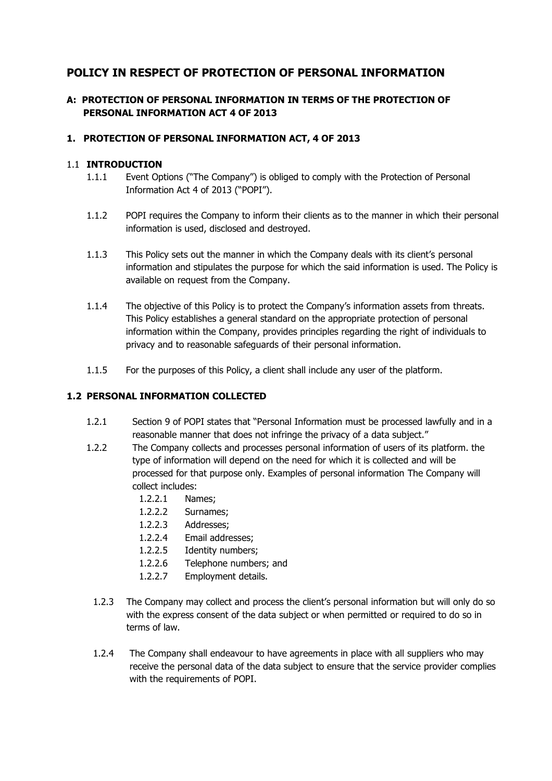## **POLICY IN RESPECT OF PROTECTION OF PERSONAL INFORMATION**

## **A: PROTECTION OF PERSONAL INFORMATION IN TERMS OF THE PROTECTION OF PERSONAL INFORMATION ACT 4 OF 2013**

## **1. PROTECTION OF PERSONAL INFORMATION ACT, 4 OF 2013**

#### 1.1 **INTRODUCTION**

- 1.1.1 Event Options ("The Company") is obliged to comply with the Protection of Personal Information Act 4 of 2013 ("POPI").
- 1.1.2 POPI requires the Company to inform their clients as to the manner in which their personal information is used, disclosed and destroyed.
- 1.1.3 This Policy sets out the manner in which the Company deals with its client's personal information and stipulates the purpose for which the said information is used. The Policy is available on request from the Company.
- 1.1.4 The objective of this Policy is to protect the Company's information assets from threats. This Policy establishes a general standard on the appropriate protection of personal information within the Company, provides principles regarding the right of individuals to privacy and to reasonable safeguards of their personal information.
- 1.1.5 For the purposes of this Policy, a client shall include any user of the platform.

#### **1.2 PERSONAL INFORMATION COLLECTED**

- 1.2.1 Section 9 of POPI states that "Personal Information must be processed lawfully and in a reasonable manner that does not infringe the privacy of a data subject."
- 1.2.2 The Company collects and processes personal information of users of its platform. the type of information will depend on the need for which it is collected and will be processed for that purpose only. Examples of personal information The Company will collect includes:
	- 1.2.2.1 Names;
	- 1.2.2.2 Surnames;
	- 1.2.2.3 Addresses;
	- 1.2.2.4 Email addresses;
	- 1.2.2.5 Identity numbers;
	- 1.2.2.6 Telephone numbers; and
	- 1.2.2.7 Employment details.
	- 1.2.3 The Company may collect and process the client's personal information but will only do so with the express consent of the data subject or when permitted or required to do so in terms of law.
	- 1.2.4 The Company shall endeavour to have agreements in place with all suppliers who may receive the personal data of the data subject to ensure that the service provider complies with the requirements of POPI.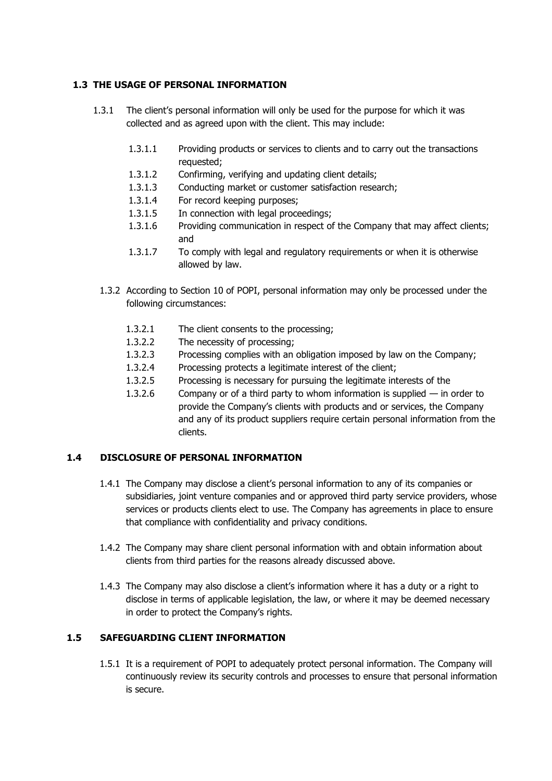#### **1.3 THE USAGE OF PERSONAL INFORMATION**

- 1.3.1 The client's personal information will only be used for the purpose for which it was collected and as agreed upon with the client. This may include:
	- 1.3.1.1 Providing products or services to clients and to carry out the transactions requested;
	- 1.3.1.2 Confirming, verifying and updating client details;
	- 1.3.1.3 Conducting market or customer satisfaction research;
	- 1.3.1.4 For record keeping purposes;
	- 1.3.1.5 In connection with legal proceedings;
	- 1.3.1.6 Providing communication in respect of the Company that may affect clients; and
	- 1.3.1.7 To comply with legal and regulatory requirements or when it is otherwise allowed by law.
	- 1.3.2 According to Section 10 of POPI, personal information may only be processed under the following circumstances:
		- 1.3.2.1 The client consents to the processing;
		- 1.3.2.2 The necessity of processing;
		- 1.3.2.3 Processing complies with an obligation imposed by law on the Company;
		- 1.3.2.4 Processing protects a legitimate interest of the client;
		- 1.3.2.5 Processing is necessary for pursuing the legitimate interests of the
		- 1.3.2.6 Company or of a third party to whom information is supplied  $-$  in order to provide the Company's clients with products and or services, the Company and any of its product suppliers require certain personal information from the clients.

#### **1.4 DISCLOSURE OF PERSONAL INFORMATION**

- 1.4.1 The Company may disclose a client's personal information to any of its companies or subsidiaries, joint venture companies and or approved third party service providers, whose services or products clients elect to use. The Company has agreements in place to ensure that compliance with confidentiality and privacy conditions.
- 1.4.2 The Company may share client personal information with and obtain information about clients from third parties for the reasons already discussed above.
- 1.4.3 The Company may also disclose a client's information where it has a duty or a right to disclose in terms of applicable legislation, the law, or where it may be deemed necessary in order to protect the Company's rights.

#### **1.5 SAFEGUARDING CLIENT INFORMATION**

1.5.1 It is a requirement of POPI to adequately protect personal information. The Company will continuously review its security controls and processes to ensure that personal information is secure.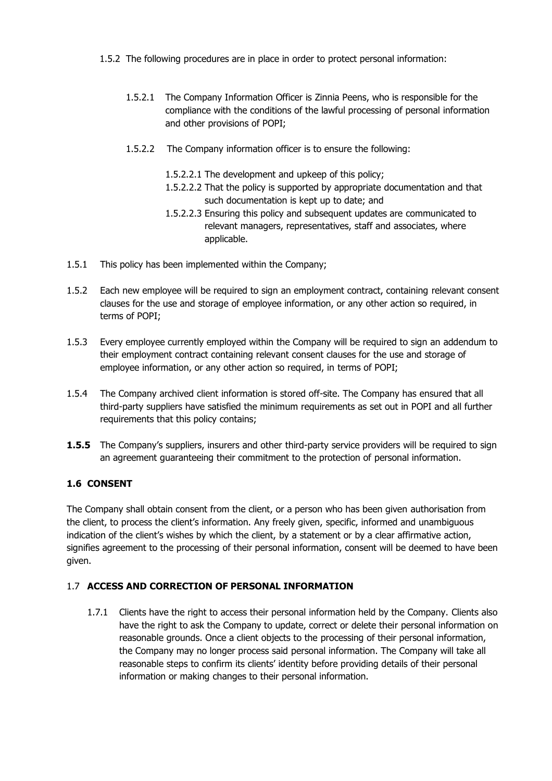- 1.5.2 The following procedures are in place in order to protect personal information:
	- 1.5.2.1 The Company Information Officer is Zinnia Peens, who is responsible for the compliance with the conditions of the lawful processing of personal information and other provisions of POPI;
	- 1.5.2.2 The Company information officer is to ensure the following:
		- 1.5.2.2.1 The development and upkeep of this policy;
		- 1.5.2.2.2 That the policy is supported by appropriate documentation and that such documentation is kept up to date; and
		- 1.5.2.2.3 Ensuring this policy and subsequent updates are communicated to relevant managers, representatives, staff and associates, where applicable.
- 1.5.1 This policy has been implemented within the Company;
- 1.5.2 Each new employee will be required to sign an employment contract, containing relevant consent clauses for the use and storage of employee information, or any other action so required, in terms of POPI;
- 1.5.3 Every employee currently employed within the Company will be required to sign an addendum to their employment contract containing relevant consent clauses for the use and storage of employee information, or any other action so required, in terms of POPI;
- 1.5.4 The Company archived client information is stored off-site. The Company has ensured that all third-party suppliers have satisfied the minimum requirements as set out in POPI and all further requirements that this policy contains;
- **1.5.5** The Company's suppliers, insurers and other third-party service providers will be required to sign an agreement guaranteeing their commitment to the protection of personal information.

## **1.6 CONSENT**

The Company shall obtain consent from the client, or a person who has been given authorisation from the client, to process the client's information. Any freely given, specific, informed and unambiguous indication of the client's wishes by which the client, by a statement or by a clear affirmative action, signifies agreement to the processing of their personal information, consent will be deemed to have been given.

## 1.7 **ACCESS AND CORRECTION OF PERSONAL INFORMATION**

1.7.1 Clients have the right to access their personal information held by the Company. Clients also have the right to ask the Company to update, correct or delete their personal information on reasonable grounds. Once a client objects to the processing of their personal information, the Company may no longer process said personal information. The Company will take all reasonable steps to confirm its clients' identity before providing details of their personal information or making changes to their personal information.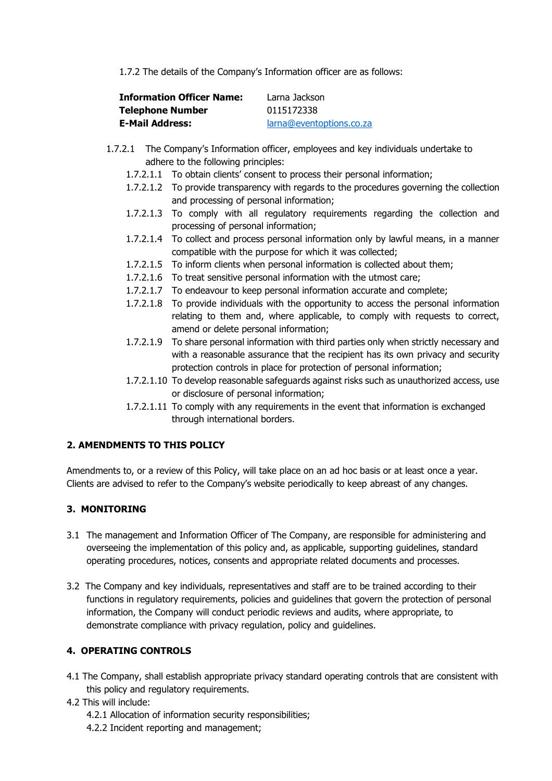1.7.2 The details of the Company's Information officer are as follows:

| <b>Information Officer Name:</b> | Larna Jackson            |
|----------------------------------|--------------------------|
| <b>Telephone Number</b>          | 0115172338               |
| <b>E-Mail Address:</b>           | larna@eventoptions.co.za |

- 1.7.2.1 The Company's Information officer, employees and key individuals undertake to adhere to the following principles:
	- 1.7.2.1.1 To obtain clients' consent to process their personal information;
	- 1.7.2.1.2 To provide transparency with regards to the procedures governing the collection and processing of personal information;
	- 1.7.2.1.3 To comply with all regulatory requirements regarding the collection and processing of personal information;
	- 1.7.2.1.4 To collect and process personal information only by lawful means, in a manner compatible with the purpose for which it was collected;
	- 1.7.2.1.5 To inform clients when personal information is collected about them;
	- 1.7.2.1.6 To treat sensitive personal information with the utmost care;
	- 1.7.2.1.7 To endeavour to keep personal information accurate and complete;
	- 1.7.2.1.8 To provide individuals with the opportunity to access the personal information relating to them and, where applicable, to comply with requests to correct, amend or delete personal information;
	- 1.7.2.1.9 To share personal information with third parties only when strictly necessary and with a reasonable assurance that the recipient has its own privacy and security protection controls in place for protection of personal information;
	- 1.7.2.1.10 To develop reasonable safeguards against risks such as unauthorized access, use or disclosure of personal information;
	- 1.7.2.1.11 To comply with any requirements in the event that information is exchanged through international borders.

## **2. AMENDMENTS TO THIS POLICY**

Amendments to, or a review of this Policy, will take place on an ad hoc basis or at least once a year. Clients are advised to refer to the Company's website periodically to keep abreast of any changes.

## **3. MONITORING**

- 3.1 The management and Information Officer of The Company, are responsible for administering and overseeing the implementation of this policy and, as applicable, supporting guidelines, standard operating procedures, notices, consents and appropriate related documents and processes.
- 3.2 The Company and key individuals, representatives and staff are to be trained according to their functions in regulatory requirements, policies and guidelines that govern the protection of personal information, the Company will conduct periodic reviews and audits, where appropriate, to demonstrate compliance with privacy regulation, policy and guidelines.

## **4. OPERATING CONTROLS**

- 4.1 The Company, shall establish appropriate privacy standard operating controls that are consistent with this policy and regulatory requirements.
- 4.2 This will include:
	- 4.2.1 Allocation of information security responsibilities;
	- 4.2.2 Incident reporting and management;